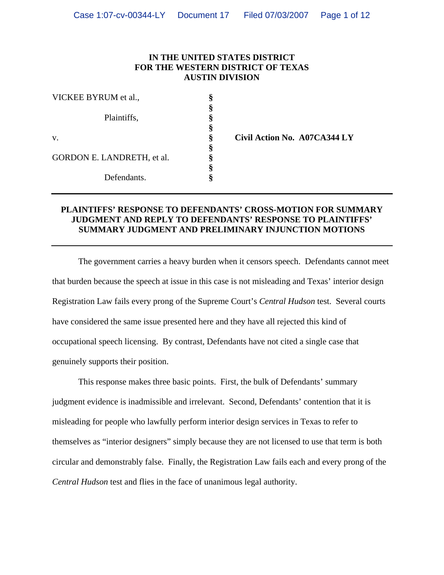## **IN THE UNITED STATES DISTRICT FOR THE WESTERN DISTRICT OF TEXAS AUSTIN DIVISION**

| VICKEE BYRUM et al.,       |  |
|----------------------------|--|
|                            |  |
| Plaintiffs,                |  |
|                            |  |
| V.                         |  |
|                            |  |
| GORDON E. LANDRETH, et al. |  |
|                            |  |
| Defendants.                |  |

v. **§ Civil Action No. A07CA344 LY** 

## **PLAINTIFFS' RESPONSE TO DEFENDANTS' CROSS-MOTION FOR SUMMARY JUDGMENT AND REPLY TO DEFENDANTS' RESPONSE TO PLAINTIFFS' SUMMARY JUDGMENT AND PRELIMINARY INJUNCTION MOTIONS**

The government carries a heavy burden when it censors speech. Defendants cannot meet that burden because the speech at issue in this case is not misleading and Texas' interior design Registration Law fails every prong of the Supreme Court's *Central Hudson* test. Several courts have considered the same issue presented here and they have all rejected this kind of occupational speech licensing. By contrast, Defendants have not cited a single case that genuinely supports their position.

This response makes three basic points. First, the bulk of Defendants' summary judgment evidence is inadmissible and irrelevant. Second, Defendants' contention that it is misleading for people who lawfully perform interior design services in Texas to refer to themselves as "interior designers" simply because they are not licensed to use that term is both circular and demonstrably false. Finally, the Registration Law fails each and every prong of the *Central Hudson* test and flies in the face of unanimous legal authority.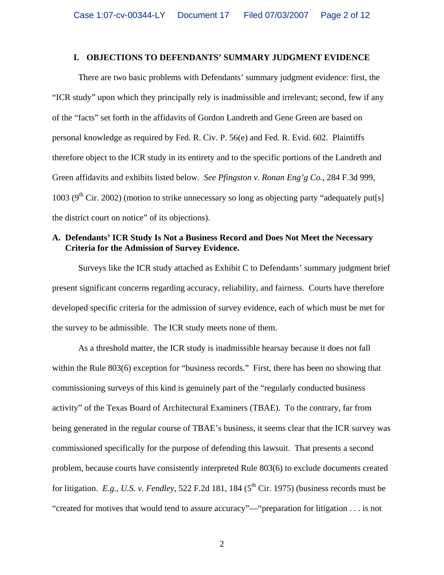#### **I. OBJECTIONS TO DEFENDANTS' SUMMARY JUDGMENT EVIDENCE**

There are two basic problems with Defendants' summary judgment evidence: first, the "ICR study" upon which they principally rely is inadmissible and irrelevant; second, few if any of the "facts" set forth in the affidavits of Gordon Landreth and Gene Green are based on personal knowledge as required by Fed. R. Civ. P. 56(e) and Fed. R. Evid. 602. Plaintiffs therefore object to the ICR study in its entirety and to the specific portions of the Landreth and Green affidavits and exhibits listed below. *See Pfingston v. Ronan Eng'g Co.*, 284 F.3d 999, 1003 ( $9<sup>th</sup>$  Cir. 2002) (motion to strike unnecessary so long as objecting party "adequately put[s] the district court on notice" of its objections).

## **A. Defendants' ICR Study Is Not a Business Record and Does Not Meet the Necessary Criteria for the Admission of Survey Evidence.**

Surveys like the ICR study attached as Exhibit C to Defendants' summary judgment brief present significant concerns regarding accuracy, reliability, and fairness. Courts have therefore developed specific criteria for the admission of survey evidence, each of which must be met for the survey to be admissible. The ICR study meets none of them.

As a threshold matter, the ICR study is inadmissible hearsay because it does not fall within the Rule 803(6) exception for "business records." First, there has been no showing that commissioning surveys of this kind is genuinely part of the "regularly conducted business activity" of the Texas Board of Architectural Examiners (TBAE). To the contrary, far from being generated in the regular course of TBAE's business, it seems clear that the ICR survey was commissioned specifically for the purpose of defending this lawsuit. That presents a second problem, because courts have consistently interpreted Rule 803(6) to exclude documents created for litigation. *E.g.*, *U.S. v. Fendley*, 522 F.2d 181, 184 ( $5<sup>th</sup>$  Cir. 1975) (business records must be "created for motives that would tend to assure accuracy"—"preparation for litigation . . . is not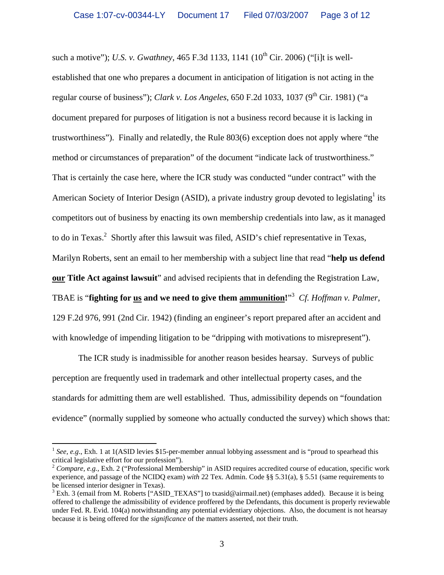such a motive"); *U.S. v. Gwathney*, 465 F.3d 1133, 1141 (10<sup>th</sup> Cir. 2006) ("[i]t is wellestablished that one who prepares a document in anticipation of litigation is not acting in the regular course of business"); *Clark v. Los Angeles*, 650 F.2d 1033, 1037 (9<sup>th</sup> Cir. 1981) ("a document prepared for purposes of litigation is not a business record because it is lacking in trustworthiness"). Finally and relatedly, the Rule 803(6) exception does not apply where "the method or circumstances of preparation" of the document "indicate lack of trustworthiness." That is certainly the case here, where the ICR study was conducted "under contract" with the American Society of Interior Design (ASID), a private industry group devoted to legislating<sup>1</sup> its competitors out of business by enacting its own membership credentials into law, as it managed to do in Texas.<sup>2</sup> Shortly after this lawsuit was filed, ASID's chief representative in Texas, Marilyn Roberts, sent an email to her membership with a subject line that read "**help us defend our Title Act against lawsuit**" and advised recipients that in defending the Registration Law, TBAE is "**fighting for us and we need to give them ammunition!**" 3 *Cf. Hoffman v. Palmer*, 129 F.2d 976, 991 (2nd Cir. 1942) (finding an engineer's report prepared after an accident and with knowledge of impending litigation to be "dripping with motivations to misrepresent").

The ICR study is inadmissible for another reason besides hearsay. Surveys of public perception are frequently used in trademark and other intellectual property cases, and the standards for admitting them are well established. Thus, admissibility depends on "foundation evidence" (normally supplied by someone who actually conducted the survey) which shows that:

1

<sup>&</sup>lt;sup>1</sup> *See, e.g.*, Exh. 1 at 1(ASID levies \$15-per-member annual lobbying assessment and is "proud to spearhead this critical legislative effort for our profession").

<sup>&</sup>lt;sup>2</sup> Compare, e.g., Exh. 2 ("Professional Membership" in ASID requires accredited course of education, specific work experience, and passage of the NCIDQ exam) *with* 22 Tex. Admin. Code §§ 5.31(a), § 5.51 (same requirements to be licensed interior designer in Texas).

<sup>&</sup>lt;sup>3</sup> Exh. 3 (email from M. Roberts ["ASID\_TEXAS"] to txasid@airmail.net) (emphases added). Because it is being offered to challenge the admissibility of evidence proffered by the Defendants, this document is properly reviewable under Fed. R. Evid. 104(a) notwithstanding any potential evidentiary objections. Also, the document is not hearsay because it is being offered for the *significance* of the matters asserted, not their truth.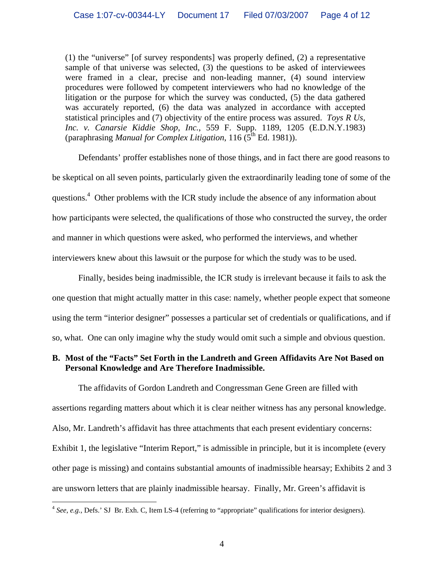(1) the "universe" [of survey respondents] was properly defined, (2) a representative sample of that universe was selected, (3) the questions to be asked of interviewees were framed in a clear, precise and non-leading manner, (4) sound interview procedures were followed by competent interviewers who had no knowledge of the litigation or the purpose for which the survey was conducted, (5) the data gathered was accurately reported, (6) the data was analyzed in accordance with accepted statistical principles and (7) objectivity of the entire process was assured. *Toys R Us, Inc. v. Canarsie Kiddie Shop, Inc.*, 559 F. Supp. 1189, 1205 (E.D.N.Y.1983) (paraphrasing *Manual for Complex Litigation*, 116 (5<sup>th</sup> Ed. 1981)).

Defendants' proffer establishes none of those things, and in fact there are good reasons to be skeptical on all seven points, particularly given the extraordinarily leading tone of some of the questions.<sup>4</sup> Other problems with the ICR study include the absence of any information about how participants were selected, the qualifications of those who constructed the survey, the order and manner in which questions were asked, who performed the interviews, and whether interviewers knew about this lawsuit or the purpose for which the study was to be used.

Finally, besides being inadmissible, the ICR study is irrelevant because it fails to ask the one question that might actually matter in this case: namely, whether people expect that someone using the term "interior designer" possesses a particular set of credentials or qualifications, and if so, what. One can only imagine why the study would omit such a simple and obvious question.

## **B. Most of the "Facts" Set Forth in the Landreth and Green Affidavits Are Not Based on Personal Knowledge and Are Therefore Inadmissible.**

The affidavits of Gordon Landreth and Congressman Gene Green are filled with assertions regarding matters about which it is clear neither witness has any personal knowledge. Also, Mr. Landreth's affidavit has three attachments that each present evidentiary concerns: Exhibit 1, the legislative "Interim Report," is admissible in principle, but it is incomplete (every other page is missing) and contains substantial amounts of inadmissible hearsay; Exhibits 2 and 3 are unsworn letters that are plainly inadmissible hearsay. Finally, Mr. Green's affidavit is

1

<sup>&</sup>lt;sup>4</sup> See, e.g., Defs.' SJ Br. Exh. C, Item LS-4 (referring to "appropriate" qualifications for interior designers).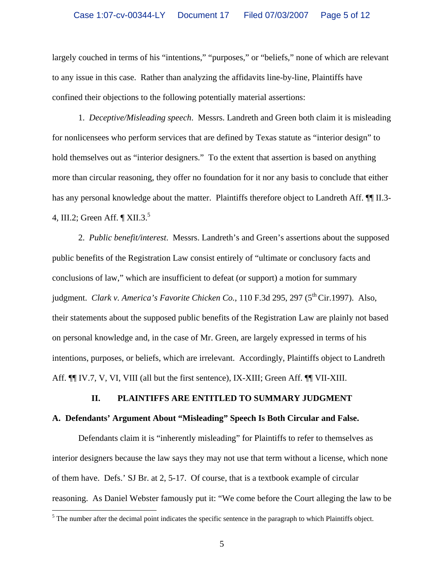largely couched in terms of his "intentions," "purposes," or "beliefs," none of which are relevant to any issue in this case. Rather than analyzing the affidavits line-by-line, Plaintiffs have confined their objections to the following potentially material assertions:

1. *Deceptive/Misleading speech*. Messrs. Landreth and Green both claim it is misleading for nonlicensees who perform services that are defined by Texas statute as "interior design" to hold themselves out as "interior designers." To the extent that assertion is based on anything more than circular reasoning, they offer no foundation for it nor any basis to conclude that either has any personal knowledge about the matter. Plaintiffs therefore object to Landreth Aff.  $\P$  II.3-4, III.2; Green Aff.  $\P$  XII.3.<sup>5</sup>

2. *Public benefit/interest*. Messrs. Landreth's and Green's assertions about the supposed public benefits of the Registration Law consist entirely of "ultimate or conclusory facts and conclusions of law," which are insufficient to defeat (or support) a motion for summary judgment. *Clark v. America's Favorite Chicken Co.*, 110 F.3d 295, 297 (5<sup>th</sup> Cir.1997). Also, their statements about the supposed public benefits of the Registration Law are plainly not based on personal knowledge and, in the case of Mr. Green, are largely expressed in terms of his intentions, purposes, or beliefs, which are irrelevant. Accordingly, Plaintiffs object to Landreth Aff. ¶¶ IV.7, V, VI, VIII (all but the first sentence), IX-XIII; Green Aff. ¶¶ VII-XIII.

### **II. PLAINTIFFS ARE ENTITLED TO SUMMARY JUDGMENT**

#### **A. Defendants' Argument About "Misleading" Speech Is Both Circular and False.**

Defendants claim it is "inherently misleading" for Plaintiffs to refer to themselves as interior designers because the law says they may not use that term without a license, which none of them have. Defs.' SJ Br. at 2, 5-17. Of course, that is a textbook example of circular reasoning. As Daniel Webster famously put it: "We come before the Court alleging the law to be

 $\overline{a}$ 

 $<sup>5</sup>$  The number after the decimal point indicates the specific sentence in the paragraph to which Plaintiffs object.</sup>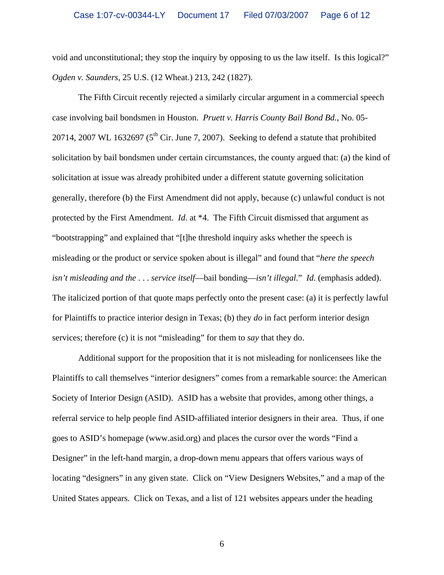void and unconstitutional; they stop the inquiry by opposing to us the law itself. Is this logical?" *Ogden v. Saunders*, 25 U.S. (12 Wheat.) 213, 242 (1827).

The Fifth Circuit recently rejected a similarly circular argument in a commercial speech case involving bail bondsmen in Houston. *Pruett v. Harris County Bail Bond Bd.*, No. 05- 20714, 2007 WL 1632697 ( $5<sup>th</sup>$  Cir. June 7, 2007). Seeking to defend a statute that prohibited solicitation by bail bondsmen under certain circumstances, the county argued that: (a) the kind of solicitation at issue was already prohibited under a different statute governing solicitation generally, therefore (b) the First Amendment did not apply, because (c) unlawful conduct is not protected by the First Amendment. *Id*. at \*4. The Fifth Circuit dismissed that argument as "bootstrapping" and explained that "[t]he threshold inquiry asks whether the speech is misleading or the product or service spoken about is illegal" and found that "*here the speech isn't misleading and the* . . . *service itself*—bail bonding—*isn't illegal*." *Id*. (emphasis added). The italicized portion of that quote maps perfectly onto the present case: (a) it is perfectly lawful for Plaintiffs to practice interior design in Texas; (b) they *do* in fact perform interior design services; therefore (c) it is not "misleading" for them to *say* that they do.

Additional support for the proposition that it is not misleading for nonlicensees like the Plaintiffs to call themselves "interior designers" comes from a remarkable source: the American Society of Interior Design (ASID). ASID has a website that provides, among other things, a referral service to help people find ASID-affiliated interior designers in their area. Thus, if one goes to ASID's homepage (www.asid.org) and places the cursor over the words "Find a Designer" in the left-hand margin, a drop-down menu appears that offers various ways of locating "designers" in any given state. Click on "View Designers Websites," and a map of the United States appears. Click on Texas, and a list of 121 websites appears under the heading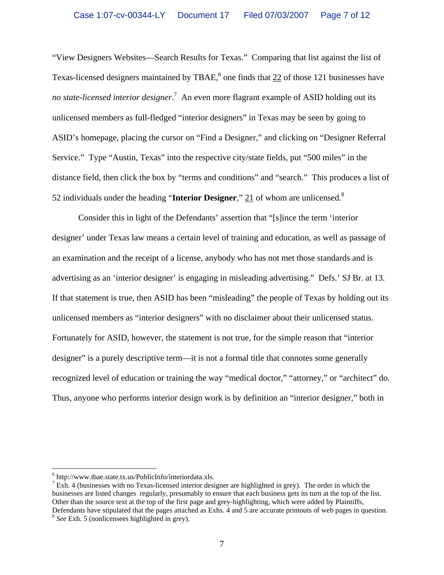"View Designers Websites—Search Results for Texas." Comparing that list against the list of Texas-licensed designers maintained by TBAE,<sup>6</sup> one finds that  $22$  of those 121 businesses have no state-licensed interior designer.<sup>7</sup> An even more flagrant example of ASID holding out its unlicensed members as full-fledged "interior designers" in Texas may be seen by going to ASID's homepage, placing the cursor on "Find a Designer," and clicking on "Designer Referral Service." Type "Austin, Texas" into the respective city/state fields, put "500 miles" in the distance field, then click the box by "terms and conditions" and "search." This produces a list of 52 individuals under the heading "**Interior Designer**," 21 of whom are unlicensed.8

Consider this in light of the Defendants' assertion that "[s]ince the term 'interior designer' under Texas law means a certain level of training and education, as well as passage of an examination and the receipt of a license, anybody who has not met those standards and is advertising as an 'interior designer' is engaging in misleading advertising." Defs.' SJ Br. at 13. If that statement is true, then ASID has been "misleading" the people of Texas by holding out its unlicensed members as "interior designers" with no disclaimer about their unlicensed status. Fortunately for ASID, however, the statement is not true, for the simple reason that "interior designer" is a purely descriptive term—it is not a formal title that connotes some generally recognized level of education or training the way "medical doctor," "attorney," or "architect" do. Thus, anyone who performs interior design work is by definition an "interior designer," both in

 $\overline{a}$ 

 $^6$  http://www.tbae.state.tx.us/PublicInfo/interiordata.xls.

 $\frac{7}{1}$  Exh. 4 (businesses with no Texas-licensed interior designer are highlighted in grey). The order in which the businesses are listed changes regularly, presumably to ensure that each business gets its turn at the top of the list. Other than the source text at the top of the first page and grey-highlighting, which were added by Plaintiffs, Defendants have stipulated that the pages attached as Exhs. 4 and 5 are accurate printouts of web pages in question. <sup>8</sup> *See* Exh. 5 (nonlicensees highlighted in grey).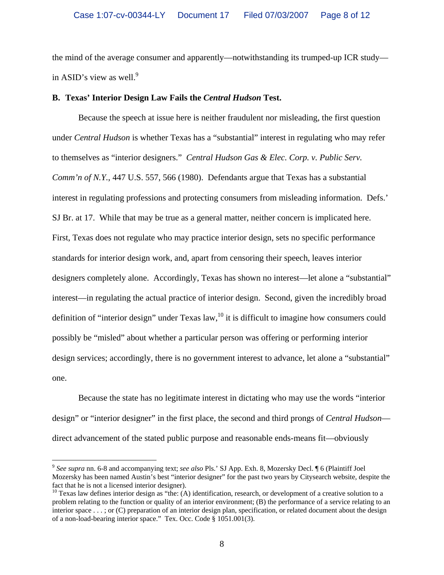the mind of the average consumer and apparently—notwithstanding its trumped-up ICR study in ASID's view as well. $9$ 

### **B. Texas' Interior Design Law Fails the** *Central Hudson* **Test.**

Because the speech at issue here is neither fraudulent nor misleading, the first question under *Central Hudson* is whether Texas has a "substantial" interest in regulating who may refer to themselves as "interior designers." *Central Hudson Gas & Elec. Corp. v. Public Serv. Comm'n of N.Y.*, 447 U.S. 557, 566 (1980). Defendants argue that Texas has a substantial interest in regulating professions and protecting consumers from misleading information. Defs.' SJ Br. at 17. While that may be true as a general matter, neither concern is implicated here. First, Texas does not regulate who may practice interior design, sets no specific performance standards for interior design work, and, apart from censoring their speech, leaves interior designers completely alone. Accordingly, Texas has shown no interest—let alone a "substantial" interest—in regulating the actual practice of interior design. Second, given the incredibly broad definition of "interior design" under Texas law,  $^{10}$  it is difficult to imagine how consumers could possibly be "misled" about whether a particular person was offering or performing interior design services; accordingly, there is no government interest to advance, let alone a "substantial" one.

Because the state has no legitimate interest in dictating who may use the words "interior design" or "interior designer" in the first place, the second and third prongs of *Central Hudson* direct advancement of the stated public purpose and reasonable ends-means fit—obviously

<u>.</u>

<sup>9</sup> *See supra* nn. 6-8 and accompanying text; *see also* Pls.' SJ App. Exh. 8, Mozersky Decl. ¶ 6 (Plaintiff Joel Mozersky has been named Austin's best "interior designer" for the past two years by Citysearch website, despite the fact that he is not a licensed interior designer).<br><sup>10</sup> Texas law defines interior design as "the: (A) identification, research, or development of a creative solution to a

problem relating to the function or quality of an interior environment; (B) the performance of a service relating to an interior space . . . ; or (C) preparation of an interior design plan, specification, or related document about the design of a non-load-bearing interior space." Tex. Occ. Code § 1051.001(3).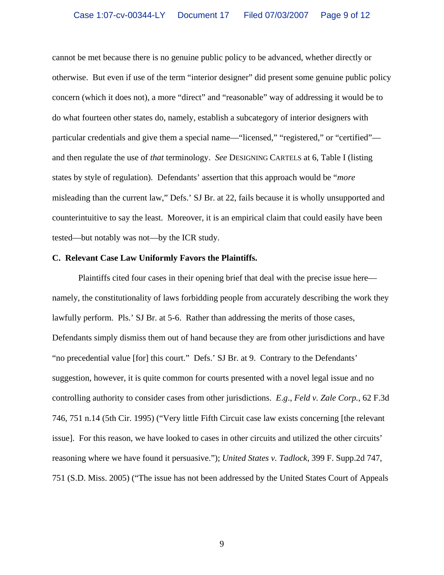cannot be met because there is no genuine public policy to be advanced, whether directly or otherwise. But even if use of the term "interior designer" did present some genuine public policy concern (which it does not), a more "direct" and "reasonable" way of addressing it would be to do what fourteen other states do, namely, establish a subcategory of interior designers with particular credentials and give them a special name—"licensed," "registered," or "certified" and then regulate the use of *that* terminology. *See* DESIGNING CARTELS at 6, Table I (listing states by style of regulation). Defendants' assertion that this approach would be "*more* misleading than the current law," Defs.' SJ Br. at 22, fails because it is wholly unsupported and counterintuitive to say the least. Moreover, it is an empirical claim that could easily have been tested—but notably was not—by the ICR study.

#### **C. Relevant Case Law Uniformly Favors the Plaintiffs.**

Plaintiffs cited four cases in their opening brief that deal with the precise issue here namely, the constitutionality of laws forbidding people from accurately describing the work they lawfully perform. Pls.' SJ Br. at 5-6. Rather than addressing the merits of those cases, Defendants simply dismiss them out of hand because they are from other jurisdictions and have "no precedential value [for] this court." Defs.' SJ Br. at 9. Contrary to the Defendants' suggestion, however, it is quite common for courts presented with a novel legal issue and no controlling authority to consider cases from other jurisdictions. *E*.*g*., *Feld v. Zale Corp.*, 62 F.3d 746, 751 n.14 (5th Cir. 1995) ("Very little Fifth Circuit case law exists concerning [the relevant issue]. For this reason, we have looked to cases in other circuits and utilized the other circuits' reasoning where we have found it persuasive."); *United States v. Tadlock*, 399 F. Supp.2d 747, 751 (S.D. Miss. 2005) ("The issue has not been addressed by the United States Court of Appeals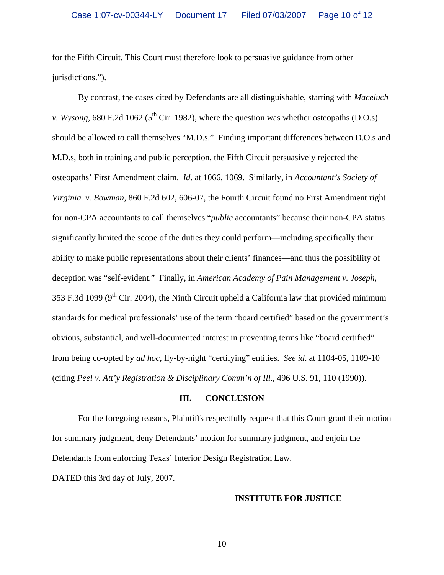for the Fifth Circuit. This Court must therefore look to persuasive guidance from other jurisdictions.").

By contrast, the cases cited by Defendants are all distinguishable, starting with *Maceluch v. Wysong*, 680 F.2d 1062 ( $5<sup>th</sup>$  Cir. 1982), where the question was whether osteopaths (D.O.s) should be allowed to call themselves "M.D.s." Finding important differences between D.O.s and M.D.s, both in training and public perception, the Fifth Circuit persuasively rejected the osteopaths' First Amendment claim. *Id*. at 1066, 1069. Similarly, in *Accountant's Society of Virginia. v. Bowman*, 860 F.2d 602, 606-07, the Fourth Circuit found no First Amendment right for non-CPA accountants to call themselves "*public* accountants" because their non-CPA status significantly limited the scope of the duties they could perform—including specifically their ability to make public representations about their clients' finances—and thus the possibility of deception was "self-evident." Finally, in *American Academy of Pain Management v. Joseph*, 353 F.3d 1099 ( $9<sup>th</sup>$  Cir. 2004), the Ninth Circuit upheld a California law that provided minimum standards for medical professionals' use of the term "board certified" based on the government's obvious, substantial, and well-documented interest in preventing terms like "board certified" from being co-opted by *ad hoc*, fly-by-night "certifying" entities. *See id*. at 1104-05, 1109-10 (citing *Peel v. Att'y Registration & Disciplinary Comm'n of Ill.*, 496 U.S. 91, 110 (1990)).

### **III. CONCLUSION**

For the foregoing reasons, Plaintiffs respectfully request that this Court grant their motion for summary judgment, deny Defendants' motion for summary judgment, and enjoin the Defendants from enforcing Texas' Interior Design Registration Law.

DATED this 3rd day of July, 2007.

### **INSTITUTE FOR JUSTICE**

10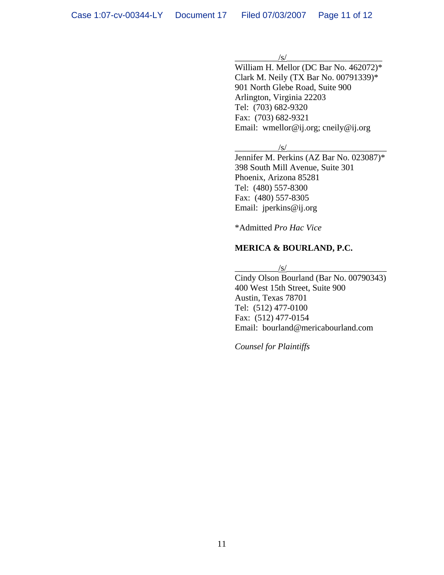#### $\frac{|s|}{s}$

William H. Mellor (DC Bar No. 462072)\* Clark M. Neily (TX Bar No. 00791339)\* 901 North Glebe Road, Suite 900 Arlington, Virginia 22203 Tel: (703) 682-9320 Fax: (703) 682-9321 Email: wmellor@ij.org; cneily@ij.org

 $\sqrt{s/}$ 

Jennifer M. Perkins (AZ Bar No. 023087)\* 398 South Mill Avenue, Suite 301 Phoenix, Arizona 85281 Tel: (480) 557-8300 Fax: (480) 557-8305 Email: jperkins@ij.org

\*Admitted *Pro Hac Vice* 

## **MERICA & BOURLAND, P.C.**

 $\sqrt{s}/$ 

Cindy Olson Bourland (Bar No. 00790343) 400 West 15th Street, Suite 900 Austin, Texas 78701 Tel: (512) 477-0100 Fax: (512) 477-0154 Email: bourland@mericabourland.com

*Counsel for Plaintiffs*